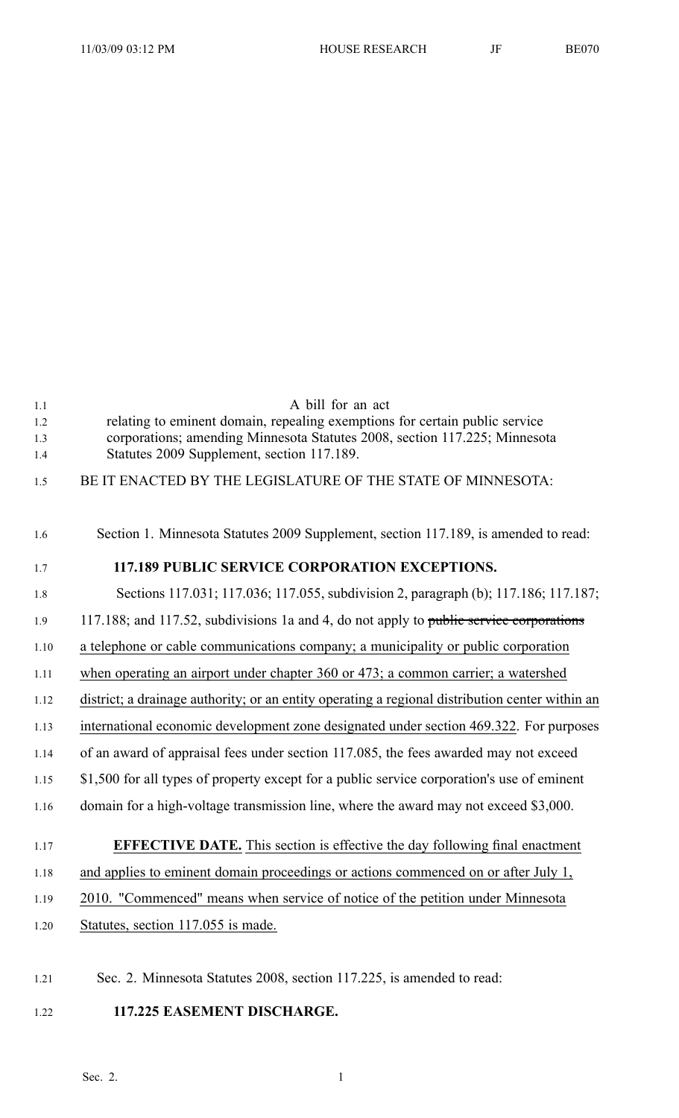| 1.1<br>1.2<br>1.3<br>1.4 | A bill for an act<br>relating to eminent domain, repealing exemptions for certain public service<br>corporations; amending Minnesota Statutes 2008, section 117.225; Minnesota<br>Statutes 2009 Supplement, section 117.189. |
|--------------------------|------------------------------------------------------------------------------------------------------------------------------------------------------------------------------------------------------------------------------|
| 1.5                      | BE IT ENACTED BY THE LEGISLATURE OF THE STATE OF MINNESOTA:                                                                                                                                                                  |
| 1.6                      | Section 1. Minnesota Statutes 2009 Supplement, section 117.189, is amended to read:                                                                                                                                          |
| 1.7                      | <b>117.189 PUBLIC SERVICE CORPORATION EXCEPTIONS.</b>                                                                                                                                                                        |
| 1.8                      | Sections 117.031; 117.036; 117.055, subdivision 2, paragraph (b); 117.186; 117.187;                                                                                                                                          |
| 1.9                      | 117.188; and 117.52, subdivisions 1a and 4, do not apply to public service corporations                                                                                                                                      |
| 1.10                     | a telephone or cable communications company; a municipality or public corporation                                                                                                                                            |
| 1.11                     | when operating an airport under chapter 360 or 473; a common carrier; a watershed                                                                                                                                            |
| 1.12                     | district; a drainage authority; or an entity operating a regional distribution center within an                                                                                                                              |
| 1.13                     | international economic development zone designated under section 469.322. For purposes                                                                                                                                       |
| 1.14                     | of an award of appraisal fees under section 117.085, the fees awarded may not exceed                                                                                                                                         |
| 1.15                     | \$1,500 for all types of property except for a public service corporation's use of eminent                                                                                                                                   |
| 1.16                     | domain for a high-voltage transmission line, where the award may not exceed \$3,000.                                                                                                                                         |
| 1.17                     | <b>EFFECTIVE DATE.</b> This section is effective the day following final enactment                                                                                                                                           |
| 1.18                     | and applies to eminent domain proceedings or actions commenced on or after July 1,                                                                                                                                           |
| 1.19                     | 2010. "Commenced" means when service of notice of the petition under Minnesota                                                                                                                                               |
| 1.20                     | Statutes, section 117.055 is made.                                                                                                                                                                                           |
|                          |                                                                                                                                                                                                                              |

- 1.21 Sec. 2. Minnesota Statutes 2008, section 117.225, is amended to read:
- 1.22 **117.225 EASEMENT DISCHARGE.**